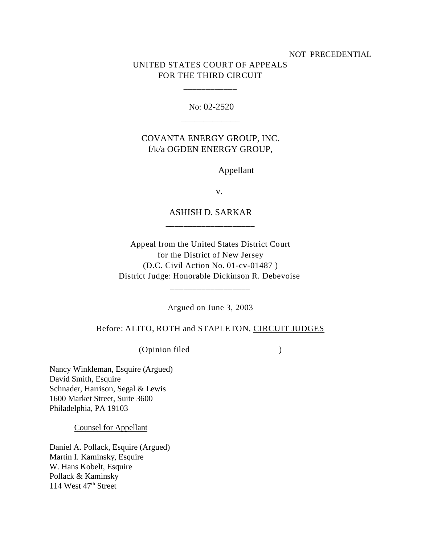#### NOT PRECEDENTIAL

# UNITED STATES COURT OF APPEALS FOR THE THIRD CIRCUIT

\_\_\_\_\_\_\_\_\_\_\_\_

No: 02-2520 \_\_\_\_\_\_\_\_\_\_\_\_\_

### COVANTA ENERGY GROUP, INC. f/k/a OGDEN ENERGY GROUP,

Appellant

v.

## ASHISH D. SARKAR \_\_\_\_\_\_\_\_\_\_\_\_\_\_\_\_\_\_\_\_

Appeal from the United States District Court for the District of New Jersey (D.C. Civil Action No. 01-cv-01487 ) District Judge: Honorable Dickinson R. Debevoise

Argued on June 3, 2003

\_\_\_\_\_\_\_\_\_\_\_\_\_\_\_\_\_\_

Before: ALITO, ROTH and STAPLETON, CIRCUIT JUDGES

(Opinion filed )

Nancy Winkleman, Esquire (Argued) David Smith, Esquire Schnader, Harrison, Segal & Lewis 1600 Market Street, Suite 3600 Philadelphia, PA 19103

Counsel for Appellant

Daniel A. Pollack, Esquire (Argued) Martin I. Kaminsky, Esquire W. Hans Kobelt, Esquire Pollack & Kaminsky 114 West  $47<sup>th</sup>$  Street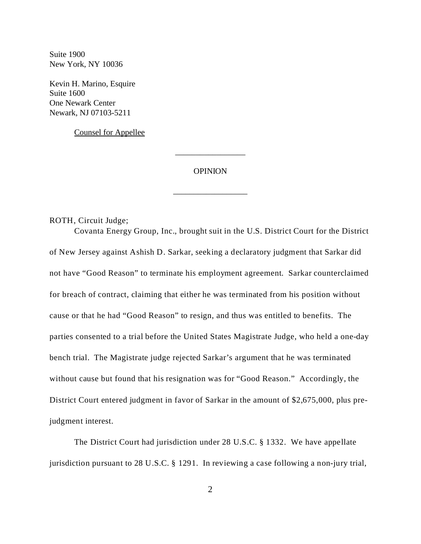Suite 1900 New York, NY 10036

Kevin H. Marino, Esquire Suite 1600 One Newark Center Newark, NJ 07103-5211

Counsel for Appellee

### OPINION

\_\_\_\_\_\_\_\_\_\_\_\_\_\_\_\_\_\_

\_\_\_\_\_\_\_\_\_\_\_\_\_\_\_\_\_

ROTH, Circuit Judge;

Covanta Energy Group, Inc., brought suit in the U.S. District Court for the District of New Jersey against Ashish D. Sarkar, seeking a declaratory judgment that Sarkar did not have "Good Reason" to terminate his employment agreement. Sarkar counterclaimed for breach of contract, claiming that either he was terminated from his position without cause or that he had "Good Reason" to resign, and thus was entitled to benefits. The parties consented to a trial before the United States Magistrate Judge, who held a one-day bench trial. The Magistrate judge rejected Sarkar's argument that he was terminated without cause but found that his resignation was for "Good Reason." Accordingly, the District Court entered judgment in favor of Sarkar in the amount of \$2,675,000, plus prejudgment interest.

The District Court had jurisdiction under 28 U.S.C. § 1332. We have appellate jurisdiction pursuant to 28 U.S.C. § 1291. In reviewing a case following a non-jury trial,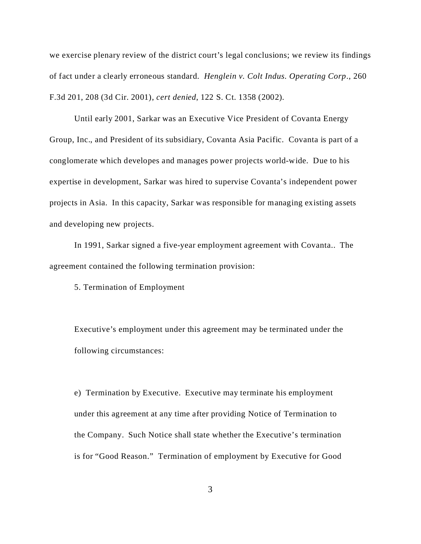we exercise plenary review of the district court's legal conclusions; we review its findings of fact under a clearly erroneous standard. *Henglein v. Colt Indus. Operating Corp*., 260 F.3d 201, 208 (3d Cir. 2001), *cert denied*, 122 S. Ct. 1358 (2002).

Until early 2001, Sarkar was an Executive Vice President of Covanta Energy Group, Inc., and President of its subsidiary, Covanta Asia Pacific. Covanta is part of a conglomerate which developes and manages power projects world-wide. Due to his expertise in development, Sarkar was hired to supervise Covanta's independent power projects in Asia. In this capacity, Sarkar was responsible for managing existing assets and developing new projects.

In 1991, Sarkar signed a five-year employment agreement with Covanta.. The agreement contained the following termination provision:

5. Termination of Employment

Executive's employment under this agreement may be terminated under the following circumstances:

e) Termination by Executive. Executive may terminate his employment under this agreement at any time after providing Notice of Termination to the Company. Such Notice shall state whether the Executive's termination is for "Good Reason." Termination of employment by Executive for Good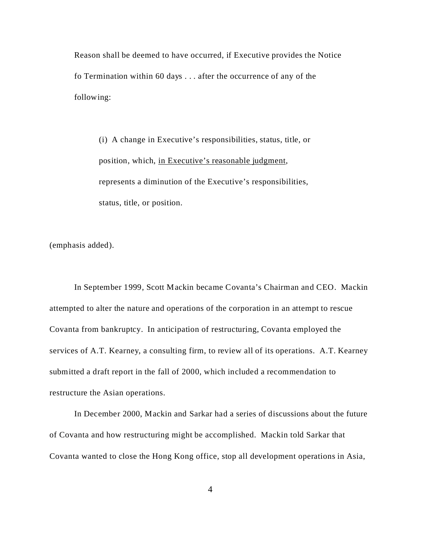Reason shall be deemed to have occurred, if Executive provides the Notice fo Termination within 60 days . . . after the occurrence of any of the following:

(i) A change in Executive's responsibilities, status, title, or position, which, in Executive's reasonable judgment, represents a diminution of the Executive's responsibilities, status, title, or position.

(emphasis added).

In September 1999, Scott Mackin became Covanta's Chairman and CEO. Mackin attempted to alter the nature and operations of the corporation in an attempt to rescue Covanta from bankruptcy. In anticipation of restructuring, Covanta employed the services of A.T. Kearney, a consulting firm, to review all of its operations. A.T. Kearney submitted a draft report in the fall of 2000, which included a recommendation to restructure the Asian operations.

In December 2000, Mackin and Sarkar had a series of discussions about the future of Covanta and how restructuring might be accomplished. Mackin told Sarkar that Covanta wanted to close the Hong Kong office, stop all development operations in Asia,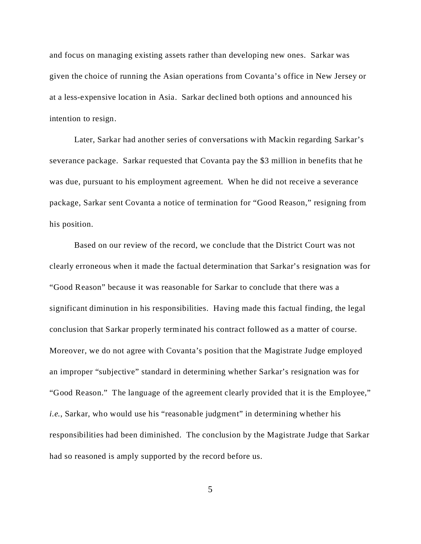and focus on managing existing assets rather than developing new ones. Sarkar was given the choice of running the Asian operations from Covanta's office in New Jersey or at a less-expensive location in Asia. Sarkar declined both options and announced his intention to resign.

Later, Sarkar had another series of conversations with Mackin regarding Sarkar's severance package. Sarkar requested that Covanta pay the \$3 million in benefits that he was due, pursuant to his employment agreement. When he did not receive a severance package, Sarkar sent Covanta a notice of termination for "Good Reason," resigning from his position.

Based on our review of the record, we conclude that the District Court was not clearly erroneous when it made the factual determination that Sarkar's resignation was for "Good Reason" because it was reasonable for Sarkar to conclude that there was a significant diminution in his responsibilities. Having made this factual finding, the legal conclusion that Sarkar properly terminated his contract followed as a matter of course. Moreover, we do not agree with Covanta's position that the Magistrate Judge employed an improper "subjective" standard in determining whether Sarkar's resignation was for "Good Reason." The language of the agreement clearly provided that it is the Employee," *i.e.*, Sarkar, who would use his "reasonable judgment" in determining whether his responsibilities had been diminished. The conclusion by the Magistrate Judge that Sarkar had so reasoned is amply supported by the record before us.

5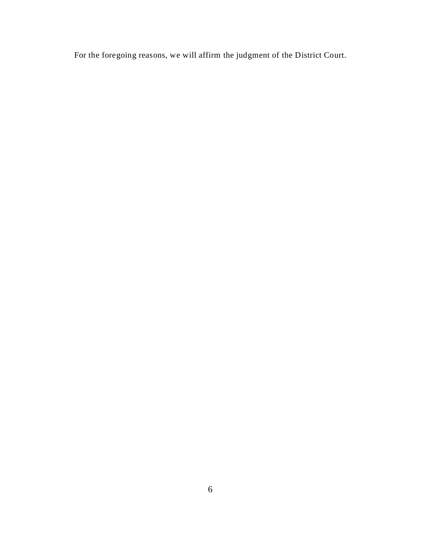For the foregoing reasons, we will affirm the judgment of the District Court.